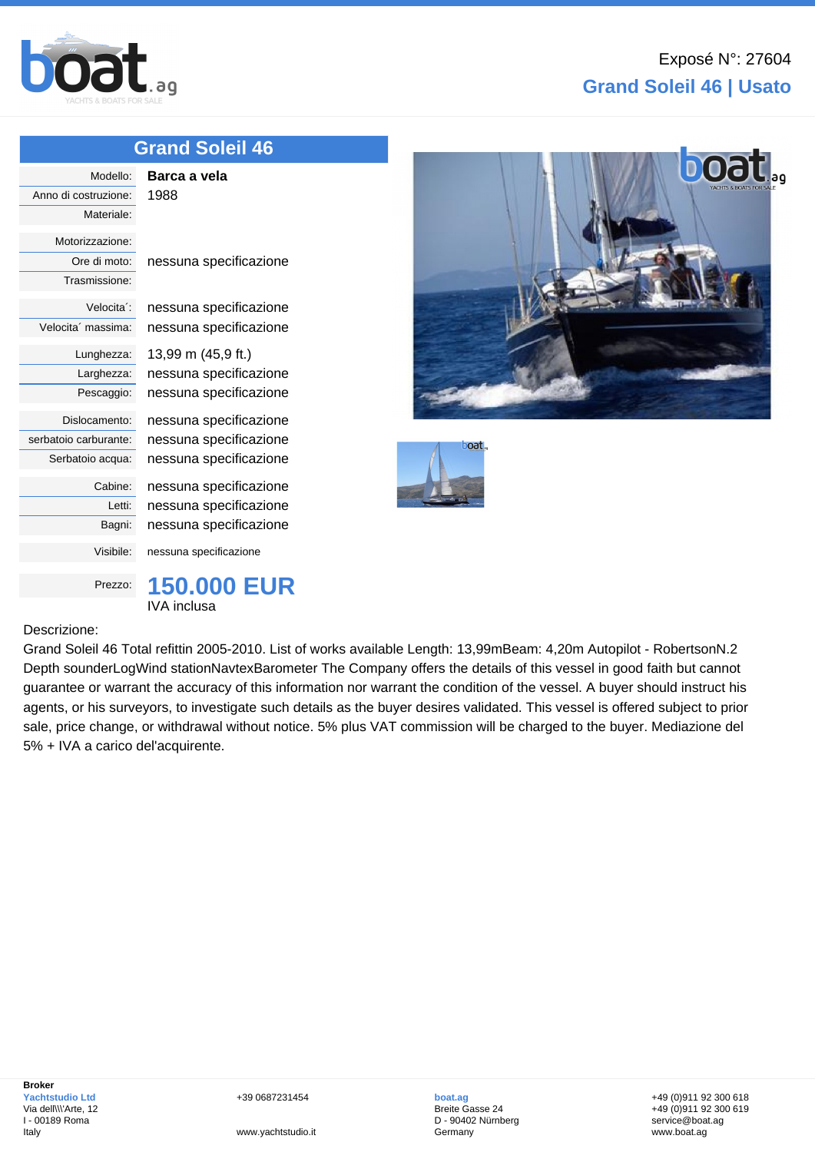

## **Grand Soleil 46 | Usato**

## **[Gran](http://www.boat.ag/)d Soleil 46**

| Modello:                | Barca a vela           |
|-------------------------|------------------------|
| Anno di costruzione:    | 1988                   |
| Materiale:              |                        |
| Motorizzazione:         |                        |
| Ore di moto:            | nessuna specificazione |
| Trasmissione:           |                        |
| Velocita <sup>*</sup> : | nessuna specificazione |
| Velocita' massima:      | nessuna specificazione |
| Lunghezza:              | 13,99 m (45,9 ft.)     |
| Larghezza:              | nessuna specificazione |
| Pescaggio:              | nessuna specificazione |
| Dislocamento:           | nessuna specificazione |
| serbatoio carburante:   | nessuna specificazione |
| Serbatoio acqua:        | nessuna specificazione |
| Cabine:                 | nessuna specificazione |
| Letti:                  | nessuna specificazione |
| Bagni:                  | nessuna specificazione |
| Visibile:               | nessuna specificazione |
| Prezzo:                 | <b>150.000 EUR</b>     |
|                         | IVA inclusa            |

## Descrizione:



Grand Soleil 46 Total refittin 2005-2010. List of works available Length: 13,99mBeam: 4,20m Autopilot - RobertsonN.2 Depth sounderLogWind stationNavtexBarometer The Company offers the details of this vessel in good faith but cannot guarantee or warrant the accuracy of this information nor warrant the condition of the vessel. A buyer should instruct his agents, or his surveyors, to investigate such details as the buyer desires validated. This vessel is offered subject to prior sale, price change, or withdrawal without notice. 5% plus VAT commission will be charged to the buyer. Mediazione del 5% + IVA a carico del'acquirente.

**boat.ag** Breite Gasse 24 D - 90402 Nürnberg Germany

+49 (0)911 92 300 618 +49 (0)911 92 300 619 service@boat.ag www.boat.ag